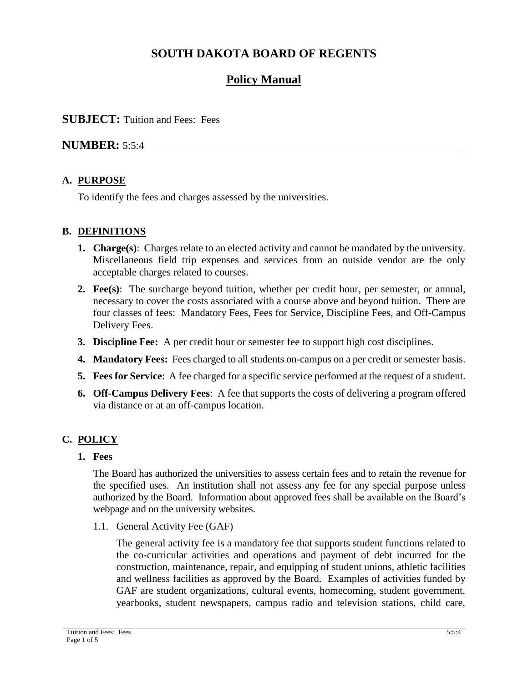# **SOUTH DAKOTA BOARD OF REGENTS**

# **Policy Manual**

### **SUBJECT:** Tuition and Fees: Fees

### **NUMBER:** 5:5:4

### **A. PURPOSE**

To identify the fees and charges assessed by the universities.

### **B. DEFINITIONS**

- **1. Charge(s)**: Charges relate to an elected activity and cannot be mandated by the university. Miscellaneous field trip expenses and services from an outside vendor are the only acceptable charges related to courses.
- **2. Fee(s)**: The surcharge beyond tuition, whether per credit hour, per semester, or annual, necessary to cover the costs associated with a course above and beyond tuition. There are four classes of fees: Mandatory Fees, Fees for Service, Discipline Fees, and Off-Campus Delivery Fees.
- **3. Discipline Fee:** A per credit hour or semester fee to support high cost disciplines.
- **4. Mandatory Fees:** Fees charged to all students on-campus on a per credit or semester basis.
- **5. Fees for Service**: A fee charged for a specific service performed at the request of a student.
- **6. Off-Campus Delivery Fees**: A fee that supports the costs of delivering a program offered via distance or at an off-campus location.

### **C. POLICY**

**1. Fees** 

The Board has authorized the universities to assess certain fees and to retain the revenue for the specified uses. An institution shall not assess any fee for any special purpose unless authorized by the Board. Information about approved fees shall be available on the Board's webpage and on the university websites.

1.1. General Activity Fee (GAF)

The general activity fee is a mandatory fee that supports student functions related to the co-curricular activities and operations and payment of debt incurred for the construction, maintenance, repair, and equipping of student unions, athletic facilities and wellness facilities as approved by the Board. Examples of activities funded by GAF are student organizations, cultural events, homecoming, student government, yearbooks, student newspapers, campus radio and television stations, child care,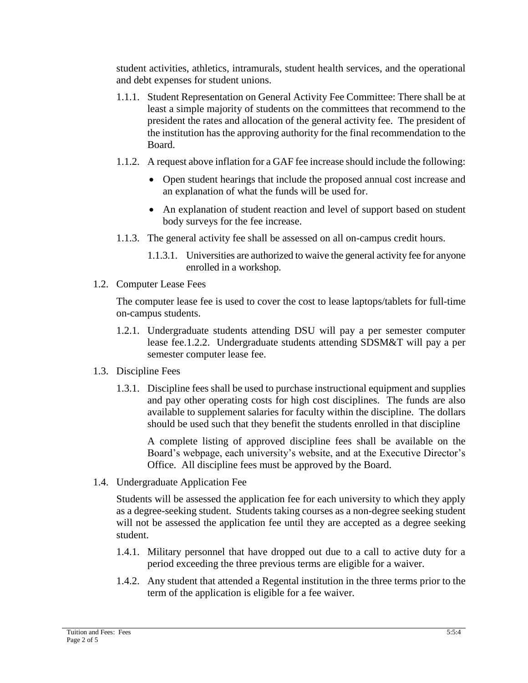student activities, athletics, intramurals, student health services, and the operational and debt expenses for student unions.

- 1.1.1. Student Representation on General Activity Fee Committee: There shall be at least a simple majority of students on the committees that recommend to the president the rates and allocation of the general activity fee. The president of the institution has the approving authority for the final recommendation to the Board.
- 1.1.2. A request above inflation for a GAF fee increase should include the following:
	- Open student hearings that include the proposed annual cost increase and an explanation of what the funds will be used for.
	- An explanation of student reaction and level of support based on student body surveys for the fee increase.
- 1.1.3. The general activity fee shall be assessed on all on-campus credit hours.
	- 1.1.3.1. Universities are authorized to waive the general activity fee for anyone enrolled in a workshop.
- 1.2. Computer Lease Fees

The computer lease fee is used to cover the cost to lease laptops/tablets for full-time on-campus students.

- 1.2.1. Undergraduate students attending DSU will pay a per semester computer lease fee.1.2.2. Undergraduate students attending SDSM&T will pay a per semester computer lease fee.
- 1.3. Discipline Fees
	- 1.3.1. Discipline fees shall be used to purchase instructional equipment and supplies and pay other operating costs for high cost disciplines. The funds are also available to supplement salaries for faculty within the discipline. The dollars should be used such that they benefit the students enrolled in that discipline

A complete listing of approved discipline fees shall be available on the Board's webpage, each university's website, and at the Executive Director's Office. All discipline fees must be approved by the Board.

1.4. Undergraduate Application Fee

Students will be assessed the application fee for each university to which they apply as a degree-seeking student. Students taking courses as a non-degree seeking student will not be assessed the application fee until they are accepted as a degree seeking student.

- 1.4.1. Military personnel that have dropped out due to a call to active duty for a period exceeding the three previous terms are eligible for a waiver.
- 1.4.2. Any student that attended a Regental institution in the three terms prior to the term of the application is eligible for a fee waiver.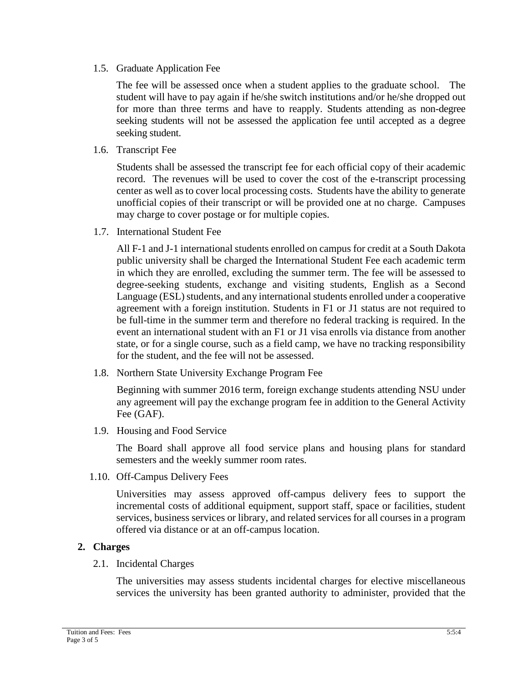1.5. Graduate Application Fee

The fee will be assessed once when a student applies to the graduate school. The student will have to pay again if he/she switch institutions and/or he/she dropped out for more than three terms and have to reapply. Students attending as non-degree seeking students will not be assessed the application fee until accepted as a degree seeking student.

1.6. Transcript Fee

Students shall be assessed the transcript fee for each official copy of their academic record. The revenues will be used to cover the cost of the e-transcript processing center as well as to cover local processing costs. Students have the ability to generate unofficial copies of their transcript or will be provided one at no charge. Campuses may charge to cover postage or for multiple copies.

1.7. International Student Fee

All F-1 and J-1 international students enrolled on campus for credit at a South Dakota public university shall be charged the International Student Fee each academic term in which they are enrolled, excluding the summer term. The fee will be assessed to degree-seeking students, exchange and visiting students, English as a Second Language (ESL) students, and any international students enrolled under a cooperative agreement with a foreign institution. Students in F1 or J1 status are not required to be full-time in the summer term and therefore no federal tracking is required. In the event an international student with an F1 or J1 visa enrolls via distance from another state, or for a single course, such as a field camp, we have no tracking responsibility for the student, and the fee will not be assessed.

1.8. Northern State University Exchange Program Fee

Beginning with summer 2016 term, foreign exchange students attending NSU under any agreement will pay the exchange program fee in addition to the General Activity Fee (GAF).

1.9. Housing and Food Service

The Board shall approve all food service plans and housing plans for standard semesters and the weekly summer room rates.

1.10. Off-Campus Delivery Fees

Universities may assess approved off-campus delivery fees to support the incremental costs of additional equipment, support staff, space or facilities, student services, business services or library, and related services for all courses in a program offered via distance or at an off-campus location.

### **2. Charges**

2.1. Incidental Charges

The universities may assess students incidental charges for elective miscellaneous services the university has been granted authority to administer, provided that the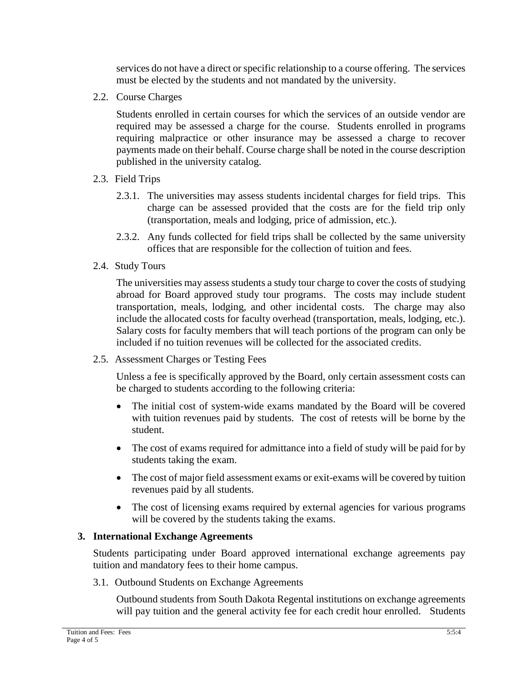services do not have a direct or specific relationship to a course offering. The services must be elected by the students and not mandated by the university.

2.2. Course Charges

Students enrolled in certain courses for which the services of an outside vendor are required may be assessed a charge for the course. Students enrolled in programs requiring malpractice or other insurance may be assessed a charge to recover payments made on their behalf. Course charge shall be noted in the course description published in the university catalog.

- 2.3. Field Trips
	- 2.3.1. The universities may assess students incidental charges for field trips. This charge can be assessed provided that the costs are for the field trip only (transportation, meals and lodging, price of admission, etc.).
	- 2.3.2. Any funds collected for field trips shall be collected by the same university offices that are responsible for the collection of tuition and fees.
- 2.4. Study Tours

The universities may assess students a study tour charge to cover the costs of studying abroad for Board approved study tour programs. The costs may include student transportation, meals, lodging, and other incidental costs. The charge may also include the allocated costs for faculty overhead (transportation, meals, lodging, etc.). Salary costs for faculty members that will teach portions of the program can only be included if no tuition revenues will be collected for the associated credits.

2.5. Assessment Charges or Testing Fees

Unless a fee is specifically approved by the Board, only certain assessment costs can be charged to students according to the following criteria:

- The initial cost of system-wide exams mandated by the Board will be covered with tuition revenues paid by students. The cost of retests will be borne by the student.
- The cost of exams required for admittance into a field of study will be paid for by students taking the exam.
- The cost of major field assessment exams or exit-exams will be covered by tuition revenues paid by all students.
- The cost of licensing exams required by external agencies for various programs will be covered by the students taking the exams.

### **3. International Exchange Agreements**

Students participating under Board approved international exchange agreements pay tuition and mandatory fees to their home campus.

3.1. Outbound Students on Exchange Agreements

Outbound students from South Dakota Regental institutions on exchange agreements will pay tuition and the general activity fee for each credit hour enrolled. Students